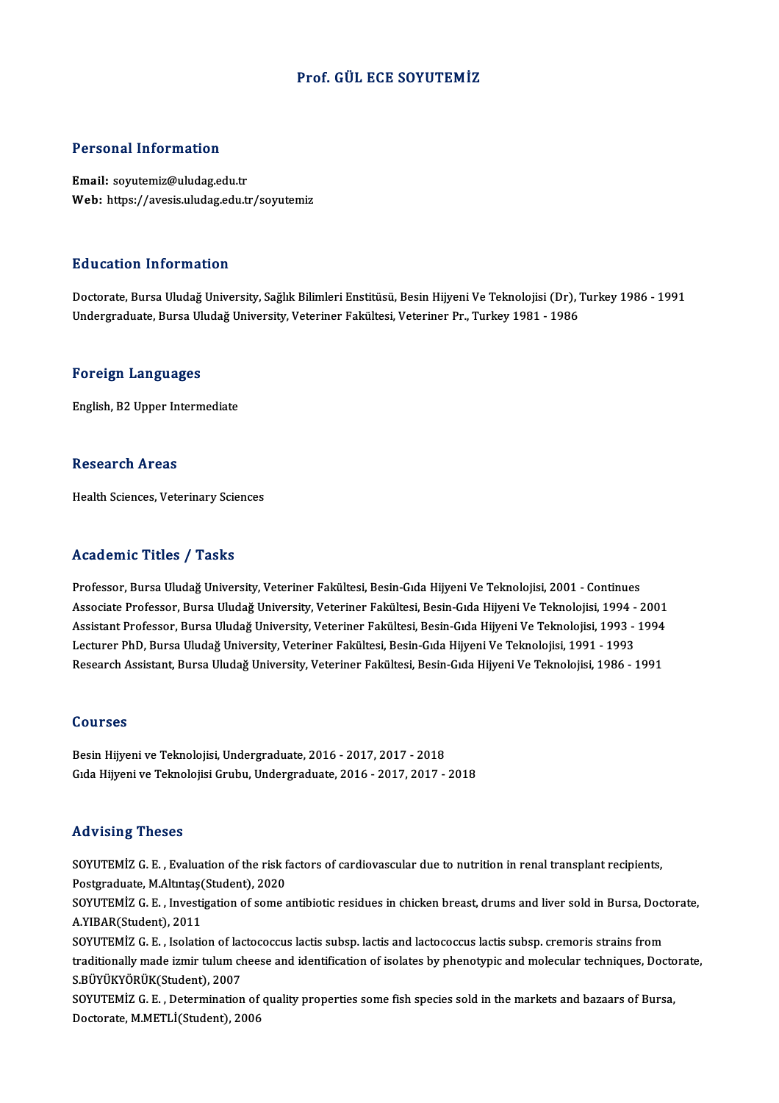#### Prof. GÜL ECE SOYUTEMİZ

#### Personal Information

Email: soyutemiz@uludag.edu.tr Web: https://avesis.uludag.edu.tr/soyutemiz

#### Education Information

Education Information<br>Doctorate, Bursa Uludağ University, Sağlık Bilimleri Enstitüsü, Besin Hijyeni Ve Teknolojisi (Dr), Turkey 1986 - 1991<br>Undergraduate Bursa Uludağ University Veteriner Fekültesi Veteriner Br. Turkey 198 2 u u su tramat minis mu tradı.<br>Doctorate, Bursa Uludağ University, Sağlık Bilimleri Enstitüsü, Besin Hijyeni Ve Teknolojisi (Dr), '<br>Undergraduate, Bursa Uludağ University, Veteriner Fakültesi, Veteriner Pr., Turkey 1981 -Undergraduate, Bursa Uludağ University, Veteriner Fakültesi, Veteriner Pr., Turkey 1981 - 1986<br>Foreign Languages

English, B2 Upper Intermediate

#### **Research Areas**

Health Sciences, Veterinary Sciences

#### Academic Titles / Tasks

Professor, Bursa Uludağ University, Veteriner Fakültesi, Besin-Gıda Hijyeni Ve Teknolojisi, 2001 - Continues Associate Professor, Bursa Uludağ University, Veteriner Fakültesi, Besin-Gıda Hijyeni Ve Teknolojisi, 1994 - 2001 Professor, Bursa Uludağ University, Veteriner Fakültesi, Besin-Gıda Hijyeni Ve Teknolojisi, 2001 - Continues<br>Associate Professor, Bursa Uludağ University, Veteriner Fakültesi, Besin-Gıda Hijyeni Ve Teknolojisi, 1994 - 2001 Associate Professor, Bursa Uludağ University, Veteriner Fakültesi, Besin-Gıda Hijyeni Ve Teknolojisi, 1994 -<br>Assistant Professor, Bursa Uludağ University, Veteriner Fakültesi, Besin-Gıda Hijyeni Ve Teknolojisi, 1993 -<br>Lect Assistant Professor, Bursa Uludağ University, Veteriner Fakültesi, Besin-Gıda Hijyeni Ve Teknolojisi, 1993 - 1994<br>Lecturer PhD, Bursa Uludağ University, Veteriner Fakültesi, Besin-Gıda Hijyeni Ve Teknolojisi, 1991 - 1993<br>R Research Assistant, Bursa Uludağ University, Veteriner Fakültesi, Besin-Gıda Hijyeni Ve Teknolojisi, 1986 - 1991<br>Courses

Besin Hijyeni ve Teknolojisi, Undergraduate, 2016 - 2017, 2017 - 2018 Gıda Hijyeni ve Teknolojisi Grubu, Undergraduate, 2016 - 2017, 2017 - 2018

#### Advising Theses

Advising Theses<br>SOYUTEMİZ G.E. , Evaluation of the risk factors of cardiovascular due to nutrition in renal transplant recipients,<br>Restanaduate M Altytes(Student), 2020 POSTGRADUATE<br>Postgraduate, M.Altıntaş(Student), 2020<br>Postgraduate, M.Altıntaş(Student), 2020<br>SOVUTEMİZ G. E., Investigation of some s SOYUTEMİZ G. E. , Evaluation of the risk factors of cardiovascular due to nutrition in renal transplant recipients,<br>Postgraduate, M.Altıntaş(Student), 2020<br>SOYUTEMİZ G. E. , Investigation of some antibiotic residues in chi

Postgraduate, M.Altıntaş<br>SOYUTEMİZ G. E. , Investi<br>A.YIBAR(Student), 2011<br>SOYUTEMİZ G. E. Jeolatic SOYUTEMİZ G. E. , Investigation of some antibiotic residues in chicken breast, drums and liver sold in Bursa, Doct<br>A.YIBAR(Student), 2011<br>SOYUTEMİZ G. E. , Isolation of lactococcus lactis subsp. lactis and lactococcus lact

A.YIBAR(Student), 2011<br>SOYUTEMİZ G. E. , Isolation of lactococcus lactis subsp. lactis and lactococcus lactis subsp. cremoris strains from<br>traditionally made izmir tulum cheese and identification of isolates by phenotypic SOYUTEMİZ G. E. , Isolation of lack<br>traditionally made izmir tulum ch<br>S.BÜYÜKYÖRÜK(Student), 2007<br>SOYUTEMİZ G. E., Determination traditionally made izmir tulum cheese and identification of isolates by phenotypic and molecular techniques, Docto<br>S.BÜYÜKYÖRÜK(Student), 2007<br>SOYUTEMİZ G. E. , Determination of quality properties some fish species sold in

S.BÜYÜKYÖRÜK(Student), 2007<br>SOYUTEMİZ G. E. , Determination of quality properties some fish species sold in the markets and bazaars of Bursa,<br>Doctorate, M.METLİ(Student), 2006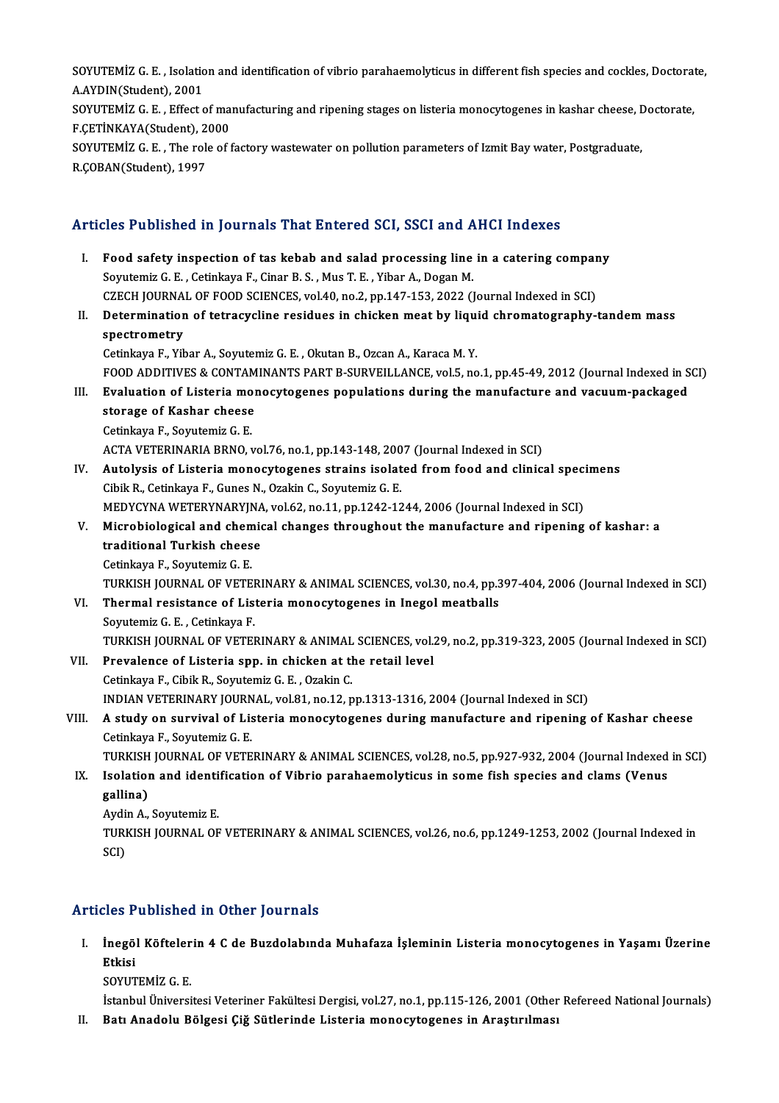SOYUTEMİZ G.E. , Isolation and identification of vibrio parahaemolyticus in different fish species and cockles, Doctorate,<br>A AYDIN(Student), 2001 SOYUTEMİZ G. E. , Isolatio<br>A.AYDIN(Student), 2001<br>SOYUTEMİZ G. E., Effect e SOYUTEMİZ G. E. , Isolation and identification of vibrio parahaemolyticus in different fish species and cockles, Doctorat<br>A.AYDIN(Student), 2001<br>SOYUTEMİZ G. E. , Effect of manufacturing and ripening stages on listeria mon

A.AYDIN(Student), 2001<br>SOYUTEMİZ G. E. , Effect of mar<br>F.ÇETİNKAYA(Student), 2000<br>SOYUTEMİZ G. E. , The role of t SOYUTEMİZ G. E. , Effect of manufacturing and ripening stages on listeria monocytogenes in kashar cheese, I<br>F.ÇETİNKAYA(Student), 2000<br>SOYUTEMİZ G. E. , The role of factory wastewater on pollution parameters of Izmit Bay w

F.ÇETİNKAYA(Student), 2<br>SOYUTEMİZ G. E. , The rol<br>R.ÇOBAN(Student), 1997

## R.COBAN(Student), 1997<br>Articles Published in Journals That Entered SCI, SSCI and AHCI Indexes

rticles Published in Journals That Entered SCI, SSCI and AHCI Indexes<br>I. Food safety inspection of tas kebab and salad processing line in a catering company<br>Sountamiz C.E. Cetinious E. Ciner B.S. Mus T.E. Viber A. Dogen M Soyutemiz G. E., Cetinkaya F., Cinar B. S., Mus T. E., Yibar A., Dogan M. Food safety inspection of tas kebab and salad processing line in a catering compar<br>Soyutemiz G. E. , Cetinkaya F., Cinar B. S. , Mus T. E. , Yibar A., Dogan M.<br>CZECH JOURNAL OF FOOD SCIENCES, vol.40, no.2, pp.147-153, 2022 Soyutemiz G. E. , Cetinkaya F., Cinar B. S. , Mus T. E. , Yibar A., Dogan M.<br>CZECH JOURNAL OF FOOD SCIENCES, vol.40, no.2, pp.147-153, 2022 (Journal Indexed in SCI)<br>II. Determination of tetracycline residues in chicken mea CZECH JOURNAL OF FOOD SCIENCES, vol.40, no.2, pp.147-153, 2022 (Journal Indexed in SCI)<br>Determination of tetracycline residues in chicken meat by liquid chromatography-<br>spectrometry<br>Cetinkaya F., Yibar A., Soyutemiz G. E. Determination of tetracycline residues in chicken meat by liqui<br>spectrometry<br>Cetinkaya F., Yibar A., Soyutemiz G. E. , Okutan B., Ozcan A., Karaca M. Y.<br>FOOD ADDITIVES & CONTAMNANTS BART B SUBVEU LANCE vol 5, no spectrometry<br>Cetinkaya F., Yibar A., Soyutemiz G. E. , Okutan B., Ozcan A., Karaca M. Y.<br>FOOD ADDITIVES & CONTAMINANTS PART B-SURVEILLANCE, vol.5, no.1, pp.45-49, 2012 (Journal Indexed in SCI)<br>Fyolyation of Listaria monogy Cetinkaya F., Yibar A., Soyutemiz G. E. , Okutan B., Ozcan A., Karaca M. Y.<br>FOOD ADDITIVES & CONTAMINANTS PART B-SURVEILLANCE, vol.5, no.1, pp.45-49, 2012 (Journal Indexed in S<br>III. Evaluation of Listeria monocytogenes pop FOOD ADDITIVES & CONTAM<br>Evaluation of Listeria more<br>storage of Kashar cheese Evaluation of Listeria mo<br>storage of Kashar cheese<br>Cetinkaya F., Soyutemiz G. E.<br>ACTA VETERINARIA RRNO 3 storage of Kashar cheese<br>Cetinkaya F., Soyutemiz G. E.<br>ACTA VETERINARIA BRNO, vol.76, no.1, pp.143-148, 2007 (Journal Indexed in SCI)<br>Autolysis of Listoria monogytogenes strains isolated from food and clinic: Cetinkaya F., Soyutemiz G. E.<br>ACTA VETERINARIA BRNO, vol.76, no.1, pp.143-148, 2007 (Journal Indexed in SCI)<br>IV. Autolysis of Listeria monocytogenes strains isolated from food and clinical specimens<br>Cibik R., Cetinkaya F., ACTA VETERINARIA BRNO, vol.76, no.1, pp.143-148, 200<br>Autolysis of Listeria monocytogenes strains isolat<br>Cibik R., Cetinkaya F., Gunes N., Ozakin C., Soyutemiz G. E.<br>MEDYCVNA WETERVNARVINA vol.62, no.11, np.1242, 12 Autolysis of Listeria monocytogenes strains isolated from food and clinical speci<br>Cibik R., Cetinkaya F., Gunes N., Ozakin C., Soyutemiz G. E.<br>MEDYCYNA WETERYNARYJNA, vol.62, no.11, pp.1242-1244, 2006 (Journal Indexed in S Cibik R., Cetinkaya F., Gunes N., Ozakin C., Soyutemiz G. E.<br>MEDYCYNA WETERYNARYJNA, vol.62, no.11, pp.1242-1244, 2006 (Journal Indexed in SCI)<br>V. Microbiological and chemical changes throughout the manufacture and ripenin MEDYCYNA WETERYNARYJNA<br>Microbiological and chemic<br>traditional Turkish cheese<br>Cetinkaya E. Sayutamir C. E. Microbiological and chem<br>traditional Turkish chees<br>Cetinkaya F., Soyutemiz G. E.<br>TURKISH JOURNAL OF VETE traditional Turkish cheese<br>Cetinkaya F., Soyutemiz G. E.<br>TURKISH JOURNAL OF VETERINARY & ANIMAL SCIENCES, vol.30, no.4, pp.397-404, 2006 (Journal Indexed in SCI) VI. Thermal resistance of Listeria monocytogenes in Inegol meatballs SoyutemizG.E. ,Cetinkaya F. Thermal resistance of Listeria monocytogenes in Inegol meatballs<br>Soyutemiz G. E. , Cetinkaya F.<br>TURKISH JOURNAL OF VETERINARY & ANIMAL SCIENCES, vol.29, no.2, pp.319-323, 2005 (Journal Indexed in SCI)<br>Prevelance of Listeri Soyutemiz G. E., Cetinkaya F.<br>TURKISH JOURNAL OF VETERINARY & ANIMAL SCIENCES, vol.<br>VII. Prevalence of Listeria spp. in chicken at the retail level<br>Cetinkaya E. Cibil: P. Soutemiz G. E. Ozakin G. TURKISH JOURNAL OF VETERINARY & ANIMAL<br>Prevalence of Listeria spp. in chicken at the<br>Cetinkaya F., Cibik R., Soyutemiz G. E. , Ozakin C.<br>INDIAN VETERINARY JOURNAL .vol 91, pp. 12, p VII. Prevalence of Listeria spp. in chicken at the retail level<br>Cetinkaya F., Cibik R., Soyutemiz G. E. , Ozakin C.<br>INDIAN VETERINARY JOURNAL, vol.81, no.12, pp.1313-1316, 2004 (Journal Indexed in SCI) Cetinkaya F., Cibik R., Soyutemiz G. E. , Ozakin C.<br>INDIAN VETERINARY JOURNAL, vol.81, no.12, pp.1313-1316, 2004 (Journal Indexed in SCI)<br>VIII. A study on survival of Listeria monocytogenes during manufacture and ripening INDIAN VETERINARY JOURN<br>A study on survival of Lis<br>Cetinkaya F., Soyutemiz G. E.<br>TURKISH JOURNAL OF VETE A study on survival of Listeria monocytogenes during manufacture and ripening of Kashar cheese<br>Cetinkaya F., Soyutemiz G. E.<br>TURKISH JOURNAL OF VETERINARY & ANIMAL SCIENCES, vol.28, no.5, pp.927-932, 2004 (Journal Indexed Cetinkaya F., Soyutemiz G. E.<br>TURKISH JOURNAL OF VETERINARY & ANIMAL SCIENCES, vol.28, no.5, pp.927-932, 2004 (Journal Indexed<br>IX. Isolation and identification of Vibrio parahaemolyticus in some fish species and clams (Ven TURKISH JOURNAL OF VETERINARY & ANIMAL SCIENCES, vol.28, no.5, pp.927-932, 2004 (Journal Indexed in SCI)<br>Isolation and identification of Vibrio parahaemolyticus in some fish species and clams (Venus<br>gallina)<br>Aydin A., Soyu **Isolation and identi<br>gallina)<br>Aydin A., Soyutemiz E.<br>TUREEN JOURNAL OF** gallina)<br>Aydin A., Soyutemiz E.<br>TURKISH JOURNAL OF VETERINARY & ANIMAL SCIENCES, vol.26, no.6, pp.1249-1253, 2002 (Journal Indexed in<br>SCD Aydi<br>TURI<br>SCI)

## Articles Published in Other Journals

rticles Published in Other Journals<br>I. İnegöl Köftelerin 4 C de Buzdolabında Muhafaza İşleminin Listeria monocytogenes in Yaşamı Üzerine<br>Rikini ACS<br>Inegö<br>Etkisi<br>SOVUT İnegöl Köfteler<br>Etkisi<br>SOYUTEMİZ G. E.<br>İstanbul Üniversi Etkisi<br>SOYUTEMİZ G. E.<br>İstanbul Üniversitesi Veteriner Fakültesi Dergisi, vol.27, no.1, pp.115-126, 2001 (Other Refereed National Journals)<br>Ratu Anadelu, Bölgesi Ciğ Sütlerinde Listeria menesytesenes in Arastırılması

SOYUTEMİZ G. E.<br>İstanbul Üniversitesi Veteriner Fakültesi Dergisi, vol.27, no.1, pp.115-126, 2001 (Other<br>II. Batı Anadolu Bölgesi Çiğ Sütlerinde Listeria monocytogenes in Araştırılması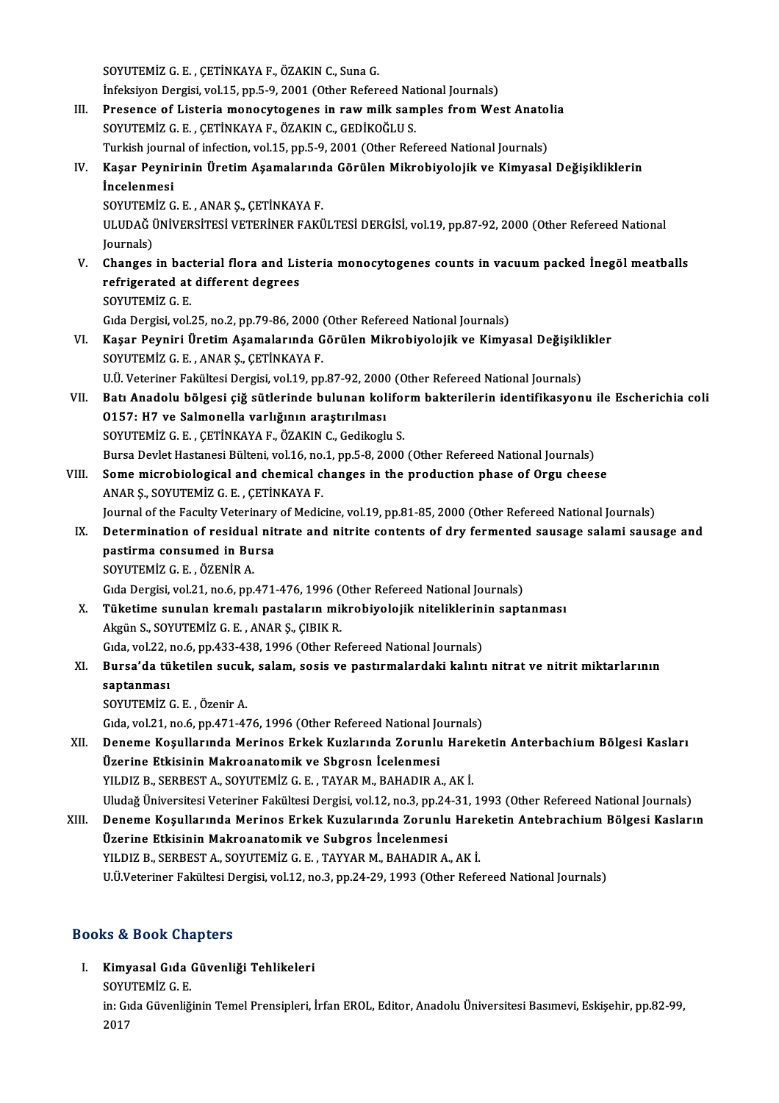SOYUTEMİZ G.E., ÇETİNKAYA F., ÖZAKIN C., Suna G. SOYUTEMİZ G. E. , ÇETİNKAYA F., ÖZAKIN C., Suna G.<br>İnfeksiyon Dergisi, vol.15, pp.5-9, 2001 (Other Refereed National Journals)<br>Presense of Listeria manoqutasanes in revy mill: samples from We SOYUTEMİZ G. E. , ÇETİNKAYA F., ÖZAKIN C., Suna G.<br>Infeksiyon Dergisi, vol.15, pp.5-9, 2001 (Other Refereed National Journals)<br>III. Presence of Listeria monocytogenes in raw milk samples from West Anatolia<br>SOVUTEMİZ G. E. İnfeksiyon Dergisi, vol.15, pp.5-9, 2001 (Other Refereed Nat<br>Presence of Listeria monocytogenes in raw milk sam<br>SOYUTEMİZ G. E. , ÇETİNKAYA F., ÖZAKIN C., GEDİKOĞLU S.<br>Turkish journal of infection vol.15, np.5, 0, 2001 (Ot Presence of Listeria monocytogenes in raw milk samples from West Anatol<br>SOYUTEMİZ G. E. , ÇETİNKAYA F., ÖZAKIN C., GEDİKOĞLU S.<br>Turkish journal of infection, vol.15, pp.5-9, 2001 (Other Refereed National Journals)<br>Kasar Po SOYUTEMİZ G. E. , ÇETİNKAYA F., ÖZAKIN C., GEDİKOĞLU S.<br>Turkish journal of infection, vol.15, pp.5-9, 2001 (Other Refereed National Journals)<br>IV. Kaşar Peynirinin Üretim Aşamalarında Görülen Mikrobiyolojik ve Kimyasal Turkish journal of infection, vol.15, pp.5-9, 2001 (Other Refereed National Journals)<br>Kaşar Peynirinin Üretim Aşamalarında Görülen Mikrobiyolojik ve Kimyasa<br>İncelenmesi<br>SOYUTEMİZ G. E. , ANAR Ş., ÇETİNKAYA F. Kaşar Peynirinin Üretim Aşamalarınd<br>İncelenmesi<br>SOYUTEMİZ G.E., ANAR Ş., ÇETİNKAYA F.<br>ULUDAĞ ÜNİVERSİTESİ VETERİNER FAKÜ İncelenmesi<br>SOYUTEMİZ G. E. , ANAR Ş., ÇETİNKAYA F.<br>ULUDAĞ ÜNİVERSİTESİ VETERİNER FAKÜLTESİ DERGİSİ, vol.19, pp.87-92, 2000 (Other Refereed National SOYUTEM<br>ULUDAĞ (<br>Journals)<br>Changes ULUDAĞ ÜNİVERSİTESİ VETERİNER FAKÜLTESİ DERGİSİ, vol.19, pp.87-92, 2000 (Other Refereed National<br>Journals)<br>V. Changes in bacterial flora and Listeria monocytogenes counts in vacuum packed İnegöl meatballs<br>refrigerated at d Journals)<br>Changes in bacterial flora and Lis<br>refrigerated at different degrees<br>SOVUTEMIZ C.E Changes in bac<br>refrigerated at<br>SOYUTEMİZ G.E.<br>Cıda Dergisi vel refrigerated at different degrees<br>SOYUTEMİZ G. E.<br>Gıda Dergisi, vol.25, no.2, pp.79-86, 2000 (Other Refereed National Journals)<br>Kasar Boynini Ünetim Asamalarında Görülen Mikrobiyalejik ve Kimya SOYUTEMİZ G. E.<br>Gıda Dergisi, vol.25, no.2, pp.79-86, 2000 (Other Refereed National Journals)<br>VI. Kaşar Peyniri Üretim Aşamalarında Görülen Mikrobiyolojik ve Kimyasal Değişiklikler<br>SOVUTEMİZ G. E. ANAR S. GETİNKAYA E Gıda Dergisi, vol.25, no.2, pp.79-86, 2000 (<br>Kaşar Peyniri Üretim Aşamalarında G<br>SOYUTEMİZ G.E., ANAR Ş., ÇETİNKAYA F.<br>HÜ Veteriner Felsikesi Dergisi vol.19, nn Kaşar Peyniri Üretim Aşamalarında Görülen Mikrobiyolojik ve Kimyasal Değişikl<br>SOYUTEMİZ G. E. , ANAR Ş., ÇETİNKAYA F.<br>U.Ü. Veteriner Fakültesi Dergisi, vol.19, pp.87-92, 2000 (Other Refereed National Journals)<br>Patı Anadalu SOYUTEMİZ G. E. , ANAR Ş., ÇETİNKAYA F.<br>U.Ü. Veteriner Fakültesi Dergisi, vol.19, pp.87-92, 2000 (Other Refereed National Journals)<br>VII. Batı Anadolu bölgesi çiğ sütlerinde bulunan koliform bakterilerin identifikasyonu U.Ü. Veteriner Fakültesi Dergisi, vol.19, pp.87-92, 2000 (Other Refereed National Journals) SOYUTEMİZ G.E., ÇETİNKAYA F., ÖZAKIN C., Gedikoglu S. 0157: H7 ve Salmonella varlığının araştırılması<br>SOYUTEMİZ G. E. , ÇETİNKAYA F., ÖZAKIN C., Gedikoglu S.<br>Bursa Devlet Hastanesi Bülteni, vol.16, no.1, pp.5-8, 2000 (Other Refereed National Journals)<br>Some misrobiological and VIII. Some microbiological and chemical changes in the production phase of Orgu cheese<br>ANAR S., SOYUTEMIZ G. E., CETINKAYA F. Bursa Devlet Hastanesi Bülteni, vol.16, no.<br>Some microbiological and chemical cl<br>ANAR Ș., SOYUTEMİZ G. E. , ÇETİNKAYA F.<br>Journal of the Faculty Veterinary of Media Some microbiological and chemical changes in the production phase of Orgu cheese<br>ANAR Ş., SOYUTEMİZ G. E. , ÇETİNKAYA F.<br>Journal of the Faculty Veterinary of Medicine, vol.19, pp.81-85, 2000 (Other Refereed National Journa ANAR Ş., SOYUTEMİZ G. E. , ÇETİNKAYA F.<br>Journal of the Faculty Veterinary of Medicine, vol.19, pp.81-85, 2000 (Other Refereed National Journals)<br>IX. Determination of residual nitrate and nitrite contents of dry ferment Journal of the Faculty Veterinary<br>Determination of residual nit<br>pastirma consumed in Bursa<br>SOVITEMIZ C.E. ÖZENIP A Determination of residual<br>pastirma consumed in Bu<br>SOYUTEMİZ G.E.,ÖZENİR A. pastirma consumed in Bursa<br>SOYUTEMİZ G. E. , ÖZENİR A.<br>Gıda Dergisi, vol.21, no.6, pp.471-476, 1996 (Other Refereed National Journals) SOYUTEMİZ G. E. , ÖZENİR A.<br>Gıda Dergisi, vol.21, no.6, pp.471-476, 1996 (Other Refereed National Journals)<br>X. Tüketime sunulan kremalı pastaların mikrobiyolojik niteliklerinin saptanması<br>Almün S. SOVUTEMİZ G. E. ANAR S. G Gıda Dergisi, vol.21, no.6, pp.471-476, 1996 ("<br>Tüketime sunulan kremalı pastaların mil<br>Akgün S., SOYUTEMİZ G. E. , ANAR Ş., ÇIBIK R.<br>Cıda vol.22, no.6, np.422,428,1996 (Other B. Tüketime sunulan kremalı pastaların mikrobiyolojik niteliklerini<br>Akgün S., SOYUTEMİZ G. E. , ANAR Ş., ÇIBIK R.<br>Gıda, vol.22, no.6, pp.433-438, 1996 (Other Refereed National Journals)<br>Bursa'da tüketilen susuk, salam, sasis Akgün S., SOYUTEMİZ G. E. , ANAR Ş., ÇIBIK R.<br>Gıda, vol.22, no.6, pp.433-438, 1996 (Other Refereed National Journals)<br>XI. Bursa'da tüketilen sucuk, salam, sosis ve pastırmalardaki kalıntı nitrat ve nitrit miktarlarının Gida, vol.22, i<br><mark>Bursa'da tü</mark><br>saptanması<br>sovurumay Bursa'da tüketilen sucuk<br>saptanması<br>SOYUTEMİZ G.E.,Özenir A. sa<mark>ptanması</mark><br>SOYUTEMİZ G. E. , Özenir A.<br>Gıda, vol.21, no.6, pp.471-476, 1996 (Other Refereed National Journals)<br>Peneme Kesullanında Merines Erkek Kurlanında Zerunlu Harek SOYUTEMİZ G. E. , Özenir A.<br>Gıda, vol.21, no.6, pp.471-476, 1996 (Other Refereed National Journals)<br>XII. Deneme Koşullarında Merinos Erkek Kuzlarında Zorunlu Hareketin Anterbachium Bölgesi Kasları<br>Üzerine Etkisinin Mak Gıda, vol.21, no.6, pp.471-476, 1996 (Other Refereed National Jo<br>Deneme Koşullarında Merinos Erkek Kuzlarında Zorunlu<br>Üzerine Etkisinin Makroanatomik ve Sbgrosn İcelenmesi<br>VILDIZ B. SERRET A. SOVUTEMİZ G.E. TAVAR M. RAHADI YILDIZ B., SERBEST A., SOYUTEMİZ G. E., TAYAR M., BAHADIR A., AKİ. Uludağ Üniversitesi Veteriner Fakültesi Dergisi, vol.12, no.3, pp.24-31, 1993 (Other Refereed National Journals) YILDIZ B., SERBEST A., SOYUTEMİZ G. E. , TAYAR M., BAHADIR A., AK İ.<br>Uludağ Üniversitesi Veteriner Fakültesi Dergisi, vol.12, no.3, pp.24-31, 1993 (Other Refereed National Journals)<br>XIII. Deneme Koşullarında Merinos Er Üzerine Etkisinin Makroanatomik ve Subgros İncelenmesi<br>YILDIZ B., SERBEST A., SOYUTEMİZ G. E., TAYYAR M., BAHADIR A., AK İ. Deneme Koşullarında Merinos Erkek Kuzularında Zorunlu Hare<br>Üzerine Etkisinin Makroanatomik ve Subgros İncelenmesi<br>YILDIZ B., SERBEST A., SOYUTEMİZ G.E. , TAYYAR M., BAHADIR A., AK İ.<br>U Ü.Veteriner Fekültesi Dergisi vel 12 U.Ü.Veteriner Fakültesi Dergisi, vol.12, no.3, pp.24-29, 1993 (Other Refereed National Journals)

### Books&Book Chapters

I. Kimyasal Gıda Güvenliği Tehlikeleri so & Book and<br>Kimyasal Gıda<br>SOYUTEMİZ G. E.

SOYUTEMIZ G. E.

in: Gıda Güvenliğinin Temel Prensipleri, İrfan EROL, Editor, Anadolu Üniversitesi Basımevi, Eskişehir, pp.82-99,<br>2017